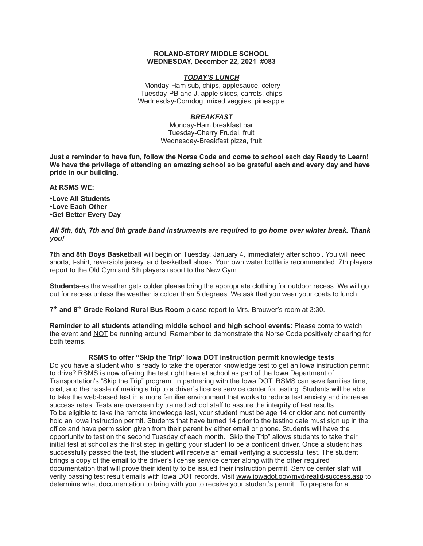#### **ROLAND-STORY MIDDLE SCHOOL WEDNESDAY, December 22, 2021 #083**

## *TODAY'S LUNCH*

Monday-Ham sub, chips, applesauce, celery Tuesday-PB and J, apple slices, carrots, chips Wednesday-Corndog, mixed veggies, pineapple

# *BREAKFAST*

Monday-Ham breakfast bar Tuesday-Cherry Frudel, fruit Wednesday-Breakfast pizza, fruit

Just a reminder to have fun, follow the Norse Code and come to school each day Ready to Learn! **We have the privilege of attending an amazing school so be grateful each and every day and have pride in our building.**

**At RSMS WE:**

**•Love All Students •Love Each Other •Get Better Every Day**

## *All 5th, 6th, 7th and 8th grade band instruments are required to go home over winter break. Thank you!*

**7th and 8th Boys Basketball** will begin on Tuesday, January 4, immediately after school. You will need shorts, t-shirt, reversible jersey, and basketball shoes. Your own water bottle is recommended. 7th players report to the Old Gym and 8th players report to the New Gym.

**Students-**as the weather gets colder please bring the appropriate clothing for outdoor recess. We will go out for recess unless the weather is colder than 5 degrees. We ask that you wear your coats to lunch.

**7 th and 8 th Grade Roland Rural Bus Room** please report to Mrs. Brouwer's room at 3:30.

**Reminder to all students attending middle school and high school events:** Please come to watch the event and NOT be running around. Remember to demonstrate the Norse Code positively cheering for both teams.

## **RSMS to offer "Skip the Trip" Iowa DOT instruction permit knowledge tests**

Do you have a student who is ready to take the operator knowledge test to get an Iowa instruction permit to drive? RSMS is now offering the test right here at school as part of the Iowa Department of Transportation's "Skip the Trip" program. In partnering with the Iowa DOT, RSMS can save families time, cost, and the hassle of making a trip to a driver's license service center for testing. Students will be able to take the web-based test in a more familiar environment that works to reduce test anxiety and increase success rates. Tests are overseen by trained school staff to assure the integrity of test results. To be eligible to take the remote knowledge test, your student must be age 14 or older and not currently hold an Iowa instruction permit. Students that have turned 14 prior to the testing date must sign up in the office and have permission given from their parent by either email or phone. Students will have the opportunity to test on the second Tuesday of each month. "Skip the Trip" allows students to take their initial test at school as the first step in getting your student to be a confident driver. Once a student has successfully passed the test, the student will receive an email verifying a successful test. The student brings a copy of the email to the driver's license service center along with the other required documentation that will prove their identity to be issued their instruction permit. Service center staff will verify passing test result emails with Iowa DOT records. Visit [www.iowadot.gov/mvd/realid/success.asp](http://www.iowadot.gov/mvd/realid/success.asp) to determine what documentation to bring with you to receive your student's permit. To prepare for a